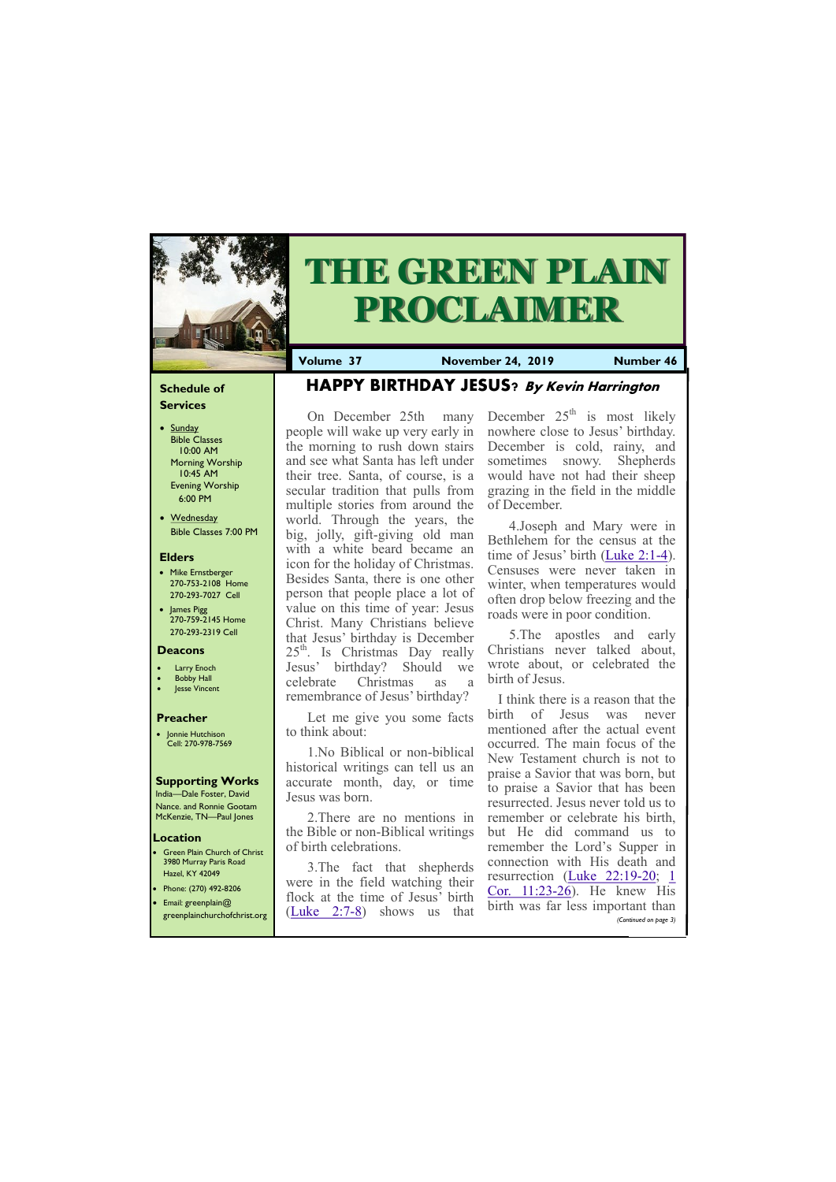### **Schedule of Services**

- Sunday Bible Classes 10:00 AM Morning Worship 10:45 AM Evening Worship 6:00 PM
- Wednesday Bible Classes 7:00 PM

### **Elders**

**Green Plain Church of Christ** 3980 Murray Paris Road Hazel, KY 42049 • Phone: (270) 492-8206

- Mike Ernstberger 270-753-2108 Home 270-293-7027 Cell
- James Pigg 270-759-2145 Home 270-293-2319 Cell

#### **Location**



# **THE GREEN PLAIN PROCLAIMER**

**Volume 37 November 24, 2019 Number 46**

#### **Deacons**

- **Larry Enoch**
- **Bobby Hall**
- **Jesse Vincent**

### **Preacher**

• Jonnie Hutchison Cell: 270-978-7569

### **Supporting Works**

India—Dale Foster, David Nance. and Ronnie Gootam McKenzie, TN—Paul Jones

# **HAPPY BIRTHDAY JESUS? By Kevin Harrington**

December  $25<sup>th</sup>$  is most likely nowhere close to Jesus' birthday. December is cold, rainy, and sometimes snowy. Shepherds would have not had their sheep grazing in the field in the middle of December.

On December 25th many people will wake up very early in the morning to rush down stairs and see what Santa has left under their tree. Santa, of course, is a secular tradition that pulls from multiple stories from around the world. Through the years, the big, jolly, gift-giving old man with a white beard became an icon for the holiday of Christmas. Besides Santa, there is one other person that people place a lot of value on this time of year: Jesus Christ. Many Christians believe that Jesus' birthday is December  $25<sup>th</sup>$ . Is Christmas Day really Jesus' birthday? Should we celebrate Christmas as a remembrance of Jesus' birthday?

 I think there is a reason that the birth of Jesus was never mentioned after the actual event occurred. The main focus of the New Testament church is not to praise a Savior that was born, but to praise a Savior that has been resurrected. Jesus never told us to remember or celebrate his birth, but He did command us to remember the Lord's Supper in connection with His death and resurrection [\(Luke 22:19](http://biblia.com/bible/esv/Luke%2022.19-20)-20; [1](http://biblia.com/bible/esv/1%20Cor.%2011.23-26)   $Cor. 11:23-26$  $Cor. 11:23-26$ . He knew His

Let me give you some facts to think about:

1.No Biblical or non-biblical historical writings can tell us an accurate month, day, or time Jesus was born.

2.There are no mentions in the Bible or non-Biblical writings of birth celebrations.

| • Email: greenplain $@$      | flock at the time of Jesus' birth $\frac{\text{COL. II}.25-\text{ZQ}}{1+\text{Z}}$ . He knew fils | birth was far less important than |
|------------------------------|---------------------------------------------------------------------------------------------------|-----------------------------------|
| greenplainchurchofchrist.org | $(Luke \t2:7-8)$ shows us<br>that                                                                 | (Continued on page 3)             |
|                              |                                                                                                   |                                   |

3.The fact that shepherds were in the field watching their

4.Joseph and Mary were in Bethlehem for the census at the time of Jesus' birth ([Luke 2:1](http://biblia.com/bible/esv/Luke%202.1-4)-4). Censuses were never taken in winter, when temperatures would often drop below freezing and the roads were in poor condition.

5.The apostles and early Christians never talked about, wrote about, or celebrated the birth of Jesus.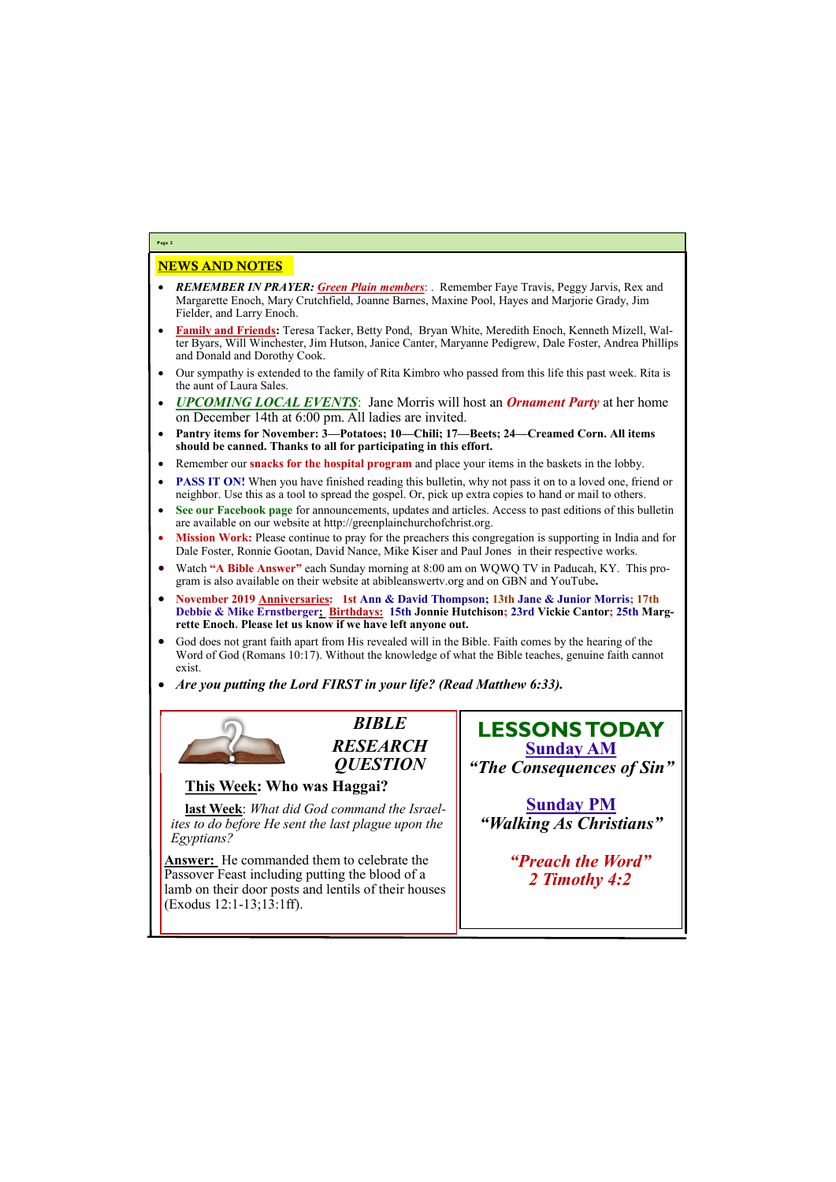# NEWS AND NOTES

- *REMEMBER IN PRAYER: Green Plain members*: . Remember Faye Travis, Peggy Jarvis, Rex and Margarette Enoch, Mary Crutchfield, Joanne Barnes, Maxine Pool, Hayes and Marjorie Grady, Jim Fielder, and Larry Enoch.
- **Family and Friends:** Teresa Tacker, Betty Pond, Bryan White, Meredith Enoch, Kenneth Mizell, Walter Byars, Will Winchester, Jim Hutson, Janice Canter, Maryanne Pedigrew, Dale Foster, Andrea Phillips and Donald and Dorothy Cook.
- Our sympathy is extended to the family of Rita Kimbro who passed from this life this past week. Rita is the aunt of Laura Sales.
- *UPCOMING LOCAL EVENTS*: Jane Morris will host an *Ornament Party* at her home on December 14th at 6:00 pm. All ladies are invited.
- **Pantry items for November: 3—Potatoes; 10—Chili; 17—Beets; 24—Creamed Corn. All items should be canned. Thanks to all for participating in this effort.**
- Remember our **snacks for the hospital program** and place your items in the baskets in the lobby.
- **PASS IT ON!** When you have finished reading this bulletin, why not pass it on to a loved one, friend or neighbor. Use this as a tool to spread the gospel. Or, pick up extra copies to hand or mail to others.
- **See our Facebook page** for announcements, updates and articles. Access to past editions of this bulletin are available on our website at http://greenplainchurchofchrist.org.
- **Mission Work:** Please continue to pray for the preachers this congregation is supporting in India and for Dale Foster, Ronnie Gootan, David Nance, Mike Kiser and Paul Jones in their respective works.
- Watch **"A Bible Answer"** each Sunday morning at 8:00 am on WQWQ TV in Paducah, KY. This program is also available on their website at abibleanswertv.org and on GBN and YouTube**.**
- **November 2019 Anniversaries: 1st Ann & David Thompson; 13th Jane & Junior Morris; 17th Debbie & Mike Ernstberger; Birthdays: 15th Jonnie Hutchison; 23rd Vickie Cantor; 25th Margrette Enoch. Please let us know if we have left anyone out.**
- God does not grant faith apart from His revealed will in the Bible. Faith comes by the hearing of the Word of God (Romans 10:17). Without the knowledge of what the Bible teaches, genuine faith cannot exist.
- *Are you putting the Lord FIRST in your life? (Read Matthew 6:33).*



**Page 2**

*BIBLE RESEARCH QUESTION*

## **This Week: Who was Haggai?**

**last Week**: *What did God command the Israelites to do before He sent the last plague upon the Egyptians?*

**Answer:** He commanded them to celebrate the Passover Feast including putting the blood of a lamb on their door posts and lentils of their houses

| $\left($ Exodus 12:1-13;13:1ff). |  |
|----------------------------------|--|
|                                  |  |
|                                  |  |

**LESSONS TODAY Sunday AM** *"The Consequences of Sin"*

**Sunday PM** *"Walking As Christians"*

> *"Preach the Word" 2 Timothy 4:2*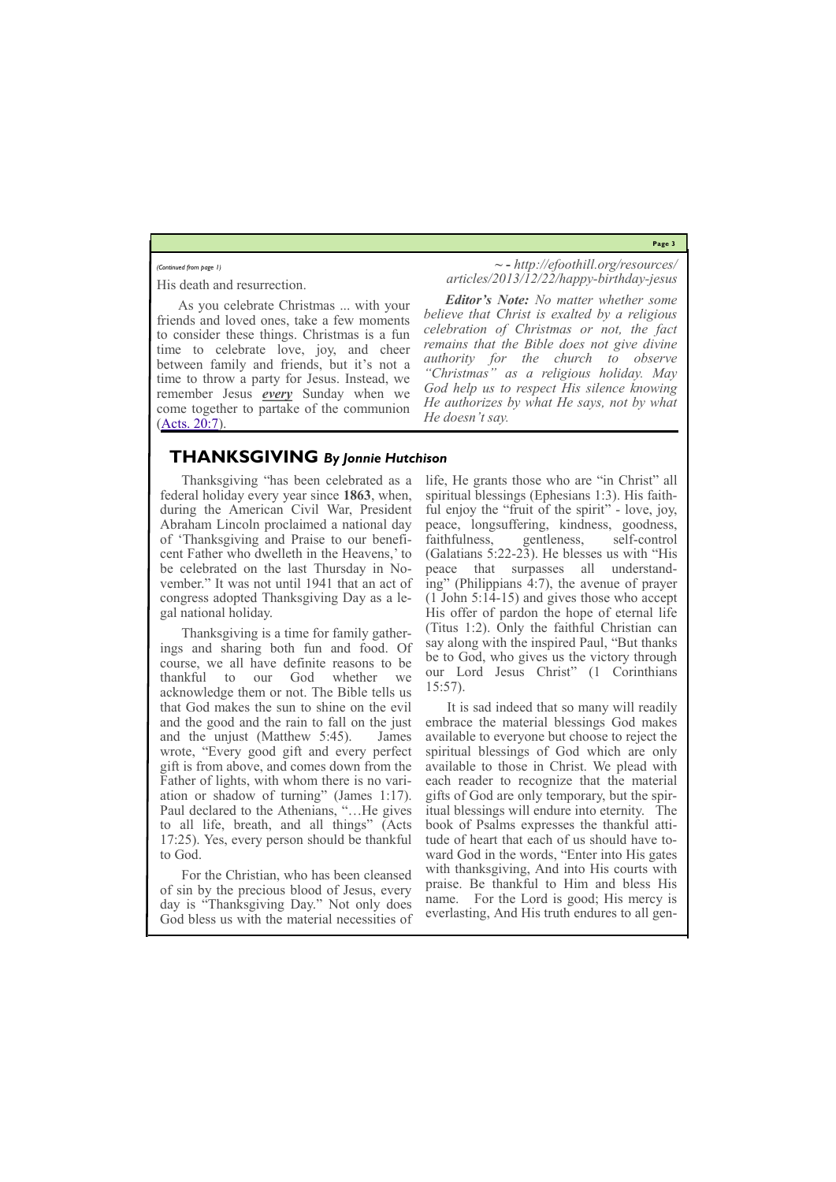**Page 3**

His death and resurrection.

As you celebrate Christmas ... with your friends and loved ones, take a few moments to consider these things. Christmas is a fun time to celebrate love, joy, and cheer between family and friends, but it's not a time to throw a party for Jesus. Instead, we remember Jesus *every* Sunday when we come together to partake of the communion [\(Acts. 20:7\).](http://biblia.com/bible/esv/Acts.%2020.7)

**~ -** *http://efoothill.org/resources/ articles/2013/12/22/happy-birthday-jesus*

*Editor's Note: No matter whether some believe that Christ is exalted by a religious celebration of Christmas or not, the fact remains that the Bible does not give divine authority for the church to observe "Christmas" as a religious holiday. May God help us to respect His silence knowing He authorizes by what He says, not by what He doesn't say.*

#### *(Continued from page 1)*

### **THANKSGIVING** *By Jonnie Hutchison*

Thanksgiving "has been celebrated as a federal holiday every year since **1863**, when, during the American Civil War, President Abraham Lincoln proclaimed a national day of 'Thanksgiving and Praise to our beneficent Father who dwelleth in the Heavens,' to be celebrated on the last Thursday in November." It was not until 1941 that an act of congress adopted Thanksgiving Day as a legal national holiday.

Thanksgiving is a time for family gatherings and sharing both fun and food. Of course, we all have definite reasons to be thankful to our God whether we acknowledge them or not. The Bible tells us that God makes the sun to shine on the evil and the good and the rain to fall on the just and the unjust (Matthew 5:45). James wrote, "Every good gift and every perfect gift is from above, and comes down from the Father of lights, with whom there is no variation or shadow of turning" (James 1:17). Paul declared to the Athenians, "…He gives to all life, breath, and all things" (Acts 17:25). Yes, every person should be thankful to God.

For the Christian, who has been cleansed of sin by the precious blood of Jesus, every

life, He grants those who are "in Christ" all spiritual blessings (Ephesians 1:3). His faithful enjoy the "fruit of the spirit" - love, joy, peace, longsuffering, kindness, goodness, faithfulness, gentleness, self-control (Galatians 5:22-23). He blesses us with "His peace that surpasses all understanding" (Philippians 4:7), the avenue of prayer (1 John 5:14-15) and gives those who accept His offer of pardon the hope of eternal life (Titus 1:2). Only the faithful Christian can say along with the inspired Paul, "But thanks be to God, who gives us the victory through our Lord Jesus Christ" (1 Corinthians 15:57).

day is "Thanksgiving Day." Not only does God bless us with the material necessities of name. For the Lord is good; His mercy is everlasting, And His truth endures to all gen-

It is sad indeed that so many will readily embrace the material blessings God makes available to everyone but choose to reject the spiritual blessings of God which are only available to those in Christ. We plead with each reader to recognize that the material gifts of God are only temporary, but the spiritual blessings will endure into eternity. The book of Psalms expresses the thankful attitude of heart that each of us should have toward God in the words, "Enter into His gates with thanksgiving, And into His courts with praise. Be thankful to Him and bless His